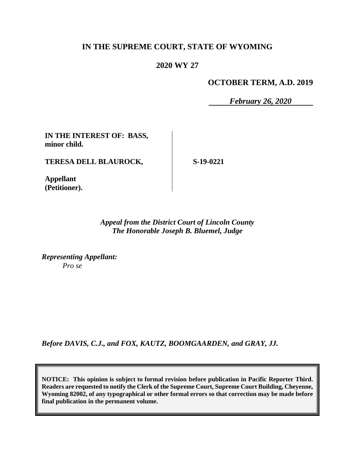## **IN THE SUPREME COURT, STATE OF WYOMING**

#### **2020 WY 27**

#### **OCTOBER TERM, A.D. 2019**

*February 26, 2020*

**IN THE INTEREST OF: BASS, minor child.**

**TERESA DELL BLAUROCK,**

**S-19-0221**

**Appellant (Petitioner).**

> *Appeal from the District Court of Lincoln County The Honorable Joseph B. Bluemel, Judge*

*Representing Appellant: Pro se*

*Before DAVIS, C.J., and FOX, KAUTZ, BOOMGAARDEN, and GRAY, JJ.*

**NOTICE: This opinion is subject to formal revision before publication in Pacific Reporter Third. Readers are requested to notify the Clerk of the Supreme Court, Supreme Court Building, Cheyenne, Wyoming 82002, of any typographical or other formal errors so that correction may be made before final publication in the permanent volume.**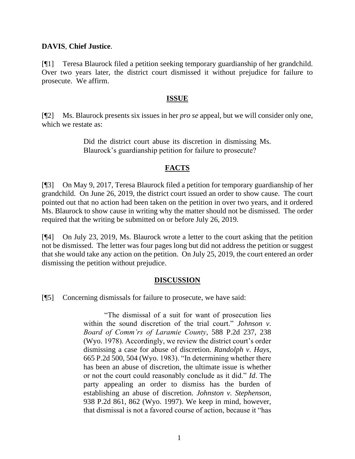#### **DAVIS**, **Chief Justice**.

[¶1] Teresa Blaurock filed a petition seeking temporary guardianship of her grandchild. Over two years later, the district court dismissed it without prejudice for failure to prosecute. We affirm.

### **ISSUE**

[¶2] Ms. Blaurock presents six issues in her *pro se* appeal, but we will consider only one, which we restate as:

> Did the district court abuse its discretion in dismissing Ms. Blaurock's guardianship petition for failure to prosecute?

# **FACTS**

[¶3] On May 9, 2017, Teresa Blaurock filed a petition for temporary guardianship of her grandchild. On June 26, 2019, the district court issued an order to show cause. The court pointed out that no action had been taken on the petition in over two years, and it ordered Ms. Blaurock to show cause in writing why the matter should not be dismissed. The order required that the writing be submitted on or before July 26, 2019.

[¶4] On July 23, 2019, Ms. Blaurock wrote a letter to the court asking that the petition not be dismissed. The letter was four pages long but did not address the petition or suggest that she would take any action on the petition. On July 25, 2019, the court entered an order dismissing the petition without prejudice.

## **DISCUSSION**

[¶5] Concerning dismissals for failure to prosecute, we have said:

"The dismissal of a suit for want of prosecution lies within the sound discretion of the trial court." *Johnson v. Board of Comm'rs of Laramie County*, 588 P.2d 237, 238 (Wyo. 1978). Accordingly, we review the district court's order dismissing a case for abuse of discretion. *Randolph v. Hays*, 665 P.2d 500, 504 (Wyo. 1983). "In determining whether there has been an abuse of discretion, the ultimate issue is whether or not the court could reasonably conclude as it did." *Id*. The party appealing an order to dismiss has the burden of establishing an abuse of discretion. *Johnston v. Stephenson*, 938 P.2d 861, 862 (Wyo. 1997). We keep in mind, however, that dismissal is not a favored course of action, because it "has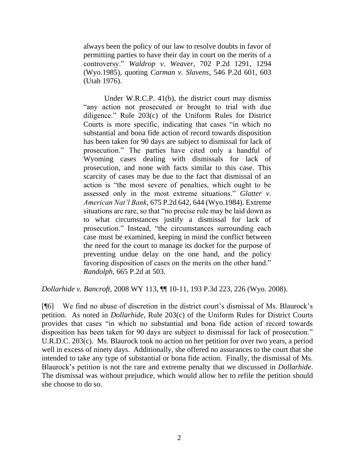always been the policy of our law to resolve doubts in favor of permitting parties to have their day in court on the merits of a controversy." *Waldrop v. Weaver*[, 702 P.2d 1291, 1294](http://www.westlaw.com/Link/Document/FullText?findType=Y&serNum=1985135517&pubNum=0000661&originatingDoc=I0f6f665c8e3611ddbc7bf97f340af743&refType=RP&fi=co_pp_sp_661_1294&originationContext=document&vr=3.0&rs=cblt1.0&transitionType=DocumentItem&contextData=(sc.UserEnteredCitation)#co_pp_sp_661_1294)  [\(Wyo.1985\),](http://www.westlaw.com/Link/Document/FullText?findType=Y&serNum=1985135517&pubNum=0000661&originatingDoc=I0f6f665c8e3611ddbc7bf97f340af743&refType=RP&fi=co_pp_sp_661_1294&originationContext=document&vr=3.0&rs=cblt1.0&transitionType=DocumentItem&contextData=(sc.UserEnteredCitation)#co_pp_sp_661_1294) quoting *Carman v. Slavens*[, 546 P.2d 601, 603](http://www.westlaw.com/Link/Document/FullText?findType=Y&serNum=1976113035&pubNum=0000661&originatingDoc=I0f6f665c8e3611ddbc7bf97f340af743&refType=RP&fi=co_pp_sp_661_603&originationContext=document&vr=3.0&rs=cblt1.0&transitionType=DocumentItem&contextData=(sc.UserEnteredCitation)#co_pp_sp_661_603)  [\(Utah 1976\).](http://www.westlaw.com/Link/Document/FullText?findType=Y&serNum=1976113035&pubNum=0000661&originatingDoc=I0f6f665c8e3611ddbc7bf97f340af743&refType=RP&fi=co_pp_sp_661_603&originationContext=document&vr=3.0&rs=cblt1.0&transitionType=DocumentItem&contextData=(sc.UserEnteredCitation)#co_pp_sp_661_603)

Under [W.R.C.P. 41\(b\),](http://www.westlaw.com/Link/Document/FullText?findType=L&pubNum=1008760&cite=WYRRCPR41&originatingDoc=I0f6f665c8e3611ddbc7bf97f340af743&refType=LQ&originationContext=document&vr=3.0&rs=cblt1.0&transitionType=DocumentItem&contextData=(sc.UserEnteredCitation)) the district court may dismiss "any action not prosecuted or brought to trial with due diligence." [Rule 203\(c\) of the Uniform Rules for District](http://www.westlaw.com/Link/Document/FullText?findType=L&pubNum=1008769&cite=WYRUNIFDCTR203&originatingDoc=I0f6f665c8e3611ddbc7bf97f340af743&refType=LQ&originationContext=document&vr=3.0&rs=cblt1.0&transitionType=DocumentItem&contextData=(sc.UserEnteredCitation))  [Courts](http://www.westlaw.com/Link/Document/FullText?findType=L&pubNum=1008769&cite=WYRUNIFDCTR203&originatingDoc=I0f6f665c8e3611ddbc7bf97f340af743&refType=LQ&originationContext=document&vr=3.0&rs=cblt1.0&transitionType=DocumentItem&contextData=(sc.UserEnteredCitation)) is more specific, indicating that cases "in which no substantial and bona fide action of record towards disposition has been taken for 90 days are subject to dismissal for lack of prosecution." The parties have cited only a handful of Wyoming cases dealing with dismissals for lack of prosecution, and none with facts similar to this case. This scarcity of cases may be due to the fact that dismissal of an action is "the most severe of penalties, which ought to be assessed only in the most extreme situations." *Glatter v. American Nat'l Bank*, 675 P.2d 642, 644 (Wyo.1984). Extreme situations are rare, so that "no precise rule may be laid down as to what circumstances justify a dismissal for lack of prosecution." Instead, "the circumstances surrounding each case must be examined, keeping in mind the conflict between the need for the court to manage its docket for the purpose of preventing undue delay on the one hand, and the policy favoring disposition of cases on the merits on the other hand." *Randolph*[, 665 P.2d at 503.](http://www.westlaw.com/Link/Document/FullText?findType=Y&serNum=1983128814&pubNum=0000661&originatingDoc=I0f6f665c8e3611ddbc7bf97f340af743&refType=RP&fi=co_pp_sp_661_503&originationContext=document&vr=3.0&rs=cblt1.0&transitionType=DocumentItem&contextData=(sc.UserEnteredCitation)#co_pp_sp_661_503)

*Dollarhide v. Bancroft*, 2008 WY 113, ¶¶ 10-11, 193 P.3d 223, 226 (Wyo. 2008).

[¶6] We find no abuse of discretion in the district court's dismissal of Ms. Blaurock's petition. As noted in *Dollarhide*, Rule 203(c) of [the Uniform Rules for District Courts](http://www.westlaw.com/Link/Document/FullText?findType=L&pubNum=1008769&cite=WYRUNIFDCTR203&originatingDoc=I0f6f665c8e3611ddbc7bf97f340af743&refType=LQ&originationContext=document&vr=3.0&rs=cblt1.0&transitionType=DocumentItem&contextData=(sc.UserEnteredCitation)) provides that cases "in which no substantial and bona fide action of record towards disposition has been taken for 90 days are subject to dismissal for lack of prosecution." U.R.D.C. 203(c). Ms. Blaurock took no action on her petition for over two years, a period well in excess of ninety days. Additionally, she offered no assurances to the court that she intended to take any type of substantial or bona fide action. Finally, the dismissal of Ms. Blaurock's petition is not the rare and extreme penalty that we discussed in *Dollarhide*. The dismissal was without prejudice, which would allow her to refile the petition should she choose to do so.